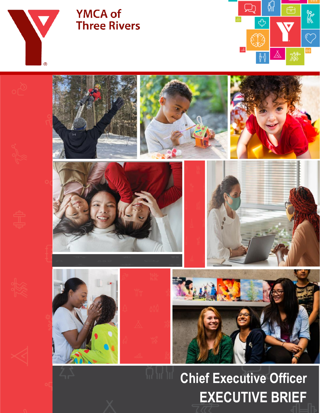

# **YMCA of Three Rivers**





# **Chief Executive Officer EXECUTIVE BRIEF**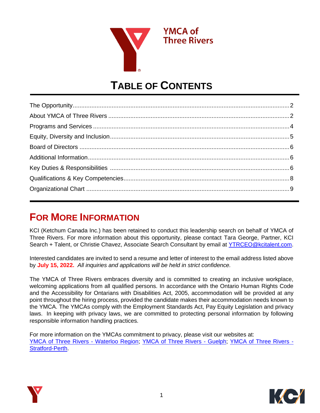

# **TABLE OF CONTENTS**

# **FOR MORE INFORMATION**

KCI (Ketchum Canada Inc.) has been retained to conduct this leadership search on behalf of YMCA of Three Rivers. For more information about this opportunity, please contact Tara George, Partner, KCI Search + Talent, or Christie Chavez, Associate Search Consultant by email at [YTRCEO@kcitalent.com.](mailto:YTRCEO@kcitalent.com)

Interested candidates are invited to send a resume and letter of interest to the email address listed above by **July 15, 2022.** *All inquiries and applications will be held in strict confidence.*

The YMCA of Three Rivers embraces diversity and is committed to creating an inclusive workplace, welcoming applications from all qualified persons. In accordance with the Ontario Human Rights Code and the Accessibility for Ontarians with Disabilities Act, 2005, accommodation will be provided at any point throughout the hiring process, provided the candidate makes their accommodation needs known to the YMCA. The YMCAs comply with the Employment Standards Act, Pay Equity Legislation and privacy laws. In keeping with privacy laws, we are committed to protecting personal information by following responsible information handling practices.

For more information on the YMCAs commitment to privacy, please visit our websites at: [YMCA of Three Rivers -](https://www.ymcacambridgekw.ca/en/index.asp) Waterloo Region; [YMCA of Three Rivers -](http://www.ymcastratfordperth.ca/) Guelph; YMCA of Three Rivers -[Stratford-Perth.](http://www.ymcastratfordperth.ca/)



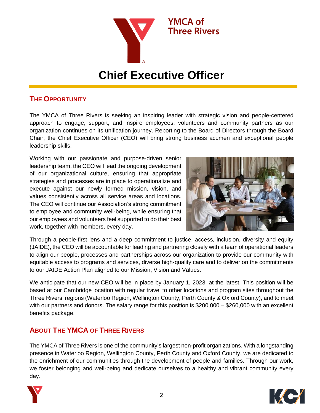

# **Chief Executive Officer**

### **THE OPPORTUNITY**

The YMCA of Three Rivers is seeking an inspiring leader with strategic vision and people-centered approach to engage, support, and inspire employees, volunteers and community partners as our organization continues on its unification journey. Reporting to the Board of Directors through the Board Chair, the Chief Executive Officer (CEO) will bring strong business acumen and exceptional people leadership skills.

Working with our passionate and purpose-driven senior leadership team, the CEO will lead the ongoing development of our organizational culture, ensuring that appropriate strategies and processes are in place to operationalize and execute against our newly formed mission, vision, and values consistently across all service areas and locations. The CEO will continue our Association's strong commitment to employee and community well-being, while ensuring that our employees and volunteers feel supported to do their best work, together with members, every day.



Through a people-first lens and a deep commitment to justice, access, inclusion, diversity and equity (JAIDE), the CEO will be accountable for leading and partnering closely with a team of operational leaders to align our people, processes and partnerships across our organization to provide our community with equitable access to programs and services, diverse high-quality care and to deliver on the commitments to our JAIDE Action Plan aligned to our Mission, Vision and Values.

We anticipate that our new CEO will be in place by January 1, 2023, at the latest. This position will be based at our Cambridge location with regular travel to other locations and program sites throughout the Three Rivers' regions (Waterloo Region, Wellington County, Perth County & Oxford County), and to meet with our partners and donors. The salary range for this position is \$200,000 – \$260,000 with an excellent benefits package.

## **ABOUT THE YMCA OF THREE RIVERS**

The YMCA of Three Rivers is one of the community's largest non-profit organizations. With a longstanding presence in Waterloo Region, Wellington County, Perth County and Oxford County, we are dedicated to the enrichment of our communities through the development of people and families. Through our work, we foster belonging and well-being and dedicate ourselves to a healthy and vibrant community every day.



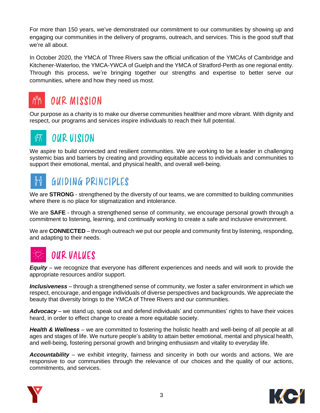For more than 150 years, we've demonstrated our commitment to our communities by showing up and engaging our communities in the delivery of programs, outreach, and services. This is the good stuff that we're all about.

In October 2020, the YMCA of Three Rivers saw the official unification of the [YMCAs of Cambridge and](https://www.ymcacambridgekw.ca/en/index.asp)  [Kitchener-Waterloo,](https://www.ymcacambridgekw.ca/en/index.asp) the [YMCA-YWCA of Guelph](https://www.guelphy.org/en/index.aspx) and the [YMCA of Stratford-Perth](http://www.ymcastratfordperth.ca/) as one regional entity. Through this process, we're bringing together our strengths and expertise to better serve our communities, where and how they need us most.



# **OUR MISSION**

Our purpose as a charity is to make our diverse communities healthier and more vibrant. With dignity and respect, our programs and services inspire individuals to reach their full potential.

#### **OUR VISION**  $\sqrt[8]{\Lambda}$

We aspire to build connected and resilient communities. We are working to be a leader in challenging systemic bias and barriers by creating and providing equitable access to individuals and communities to support their emotional, mental, and physical health, and overall well-being.

#### ŤŤ **GUIDING PRINCIPLES**

We are **STRONG** - strengthened by the diversity of our teams, we are committed to building communities where there is no place for stigmatization and intolerance.

We are **SAFE** - through a strengthened sense of community, we encourage personal growth through a commitment to listening, learning, and continually working to create a safe and inclusive environment.

We are **CONNECTED** – through outreach we put our people and community first by listening, responding, and adapting to their needs.



# **OUR VALUES**

*Equity* – we recognize that everyone has different experiences and needs and will work to provide the appropriate resources and/or support.

*Inclusiveness* – through a strengthened sense of community, we foster a safer environment in which we respect, encourage, and engage individuals of diverse perspectives and backgrounds. We appreciate the beauty that diversity brings to the YMCA of Three Rivers and our communities.

*Advocacy* – we stand up, speak out and defend individuals' and communities' rights to have their voices heard, in order to effect change to create a more equitable society.

*Health & Wellness* – we are committed to fostering the holistic health and well-being of all people at all ages and stages of life. We nurture people's ability to attain better emotional, mental and physical health, and well-being, fostering personal growth and bringing enthusiasm and vitality to everyday life.

*Accountability* – we exhibit integrity, fairness and sincerity in both our words and actions. We are responsive to our communities through the relevance of our choices and the quality of our actions, commitments, and services.



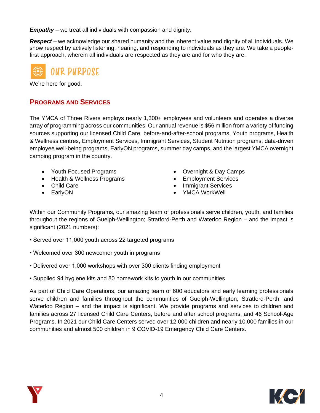*Empathy* – we treat all individuals with compassion and dignity.

*Respect* – we acknowledge our shared humanity and the inherent value and dignity of all individuals. We show respect by actively listening, hearing, and responding to individuals as they are. We take a peoplefirst approach, wherein all individuals are respected as they are and for who they are.



We're here for good.

### **PROGRAMS AND SERVICES**

The YMCA of Three Rivers employs nearly 1,300+ employees and volunteers and operates a diverse array of programming across our communities. Our annual revenue is \$56 million from a variety of funding sources supporting our licensed Child Care, before-and-after-school programs, Youth programs, Health & Wellness centres, Employment Services, Immigrant Services, Student Nutrition programs, data-driven employee well-being programs, EarlyON programs, summer day camps, and the largest YMCA overnight camping program in the country.

- Youth Focused Programs
- Health & Wellness Programs
- Child Care
- EarlyON
- Overnight & Day Camps
- Employment Services
- Immigrant Services
- YMCA WorkWell

Within our Community Programs, our amazing team of professionals serve children, youth, and families throughout the regions of Guelph-Wellington; Stratford-Perth and Waterloo Region – and the impact is significant (2021 numbers):

- Served over 11,000 youth across 22 targeted programs
- Welcomed over 300 newcomer youth in programs
- Delivered over 1,000 workshops with over 300 clients finding employment
- Supplied 94 hygiene kits and 80 homework kits to youth in our communities

As part of Child Care Operations, our amazing team of 600 educators and early learning professionals serve children and families throughout the communities of Guelph-Wellington, Stratford-Perth, and Waterloo Region – and the impact is significant. We provide programs and services to children and families across 27 licensed Child Care Centers, before and after school programs, and 46 School-Age Programs. In 2021 our Child Care Centers served over 12,000 children and nearly 10,000 families in our communities and almost 500 children in 9 COVID-19 Emergency Child Care Centers.

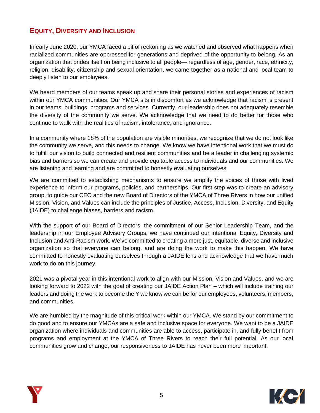# **EQUITY, DIVERSITY AND INCLUSION**

In early June 2020, our YMCA faced a bit of reckoning as we watched and observed what happens when racialized communities are oppressed for generations and deprived of the opportunity to belong. As an organization that prides itself on being inclusive to all people— regardless of age, gender, race, ethnicity, religion, disability, citizenship and sexual orientation, we came together as a national and local team to deeply listen to our employees.

We heard members of our teams speak up and share their personal stories and experiences of racism within our YMCA communities. Our YMCA sits in discomfort as we acknowledge that racism is present in our teams, buildings, programs and services. Currently, our leadership does not adequately resemble the diversity of the community we serve. We acknowledge that we need to do better for those who continue to walk with the realities of racism, intolerance, and ignorance.

In a community where 18% of the population are visible minorities, we recognize that we do not look like the community we serve, and this needs to change. We know we have intentional work that we must do to fulfill our vision to build connected and resilient communities and be a leader in challenging systemic bias and barriers so we can create and provide equitable access to individuals and our communities. We are listening and learning and are committed to honestly evaluating ourselves

We are committed to establishing mechanisms to ensure we amplify the voices of those with lived experience to inform our programs, policies, and partnerships. Our first step was to create an advisory group, to guide our CEO and the new Board of Directors of the YMCA of Three Rivers in how our unified Mission, Vision, and Values can include the principles of Justice, Access, Inclusion, Diversity, and Equity (JAIDE) to challenge biases, barriers and racism.

With the support of our Board of Directors, the commitment of our Senior Leadership Team, and the leadership in our Employee Advisory Groups, we have continued our intentional Equity, Diversity and Inclusion and Anti-Racism work. We've committed to creating a more just, equitable, diverse and inclusive organization so that everyone can belong, and are doing the work to make this happen. We have committed to honestly evaluating ourselves through a JAIDE lens and acknowledge that we have much work to do on this journey.

2021 was a pivotal year in this intentional work to align with our [Mission, Vision and Values,](https://www.ymcacambridgekw.ca/en/resourcesGeneral/YMCA-of-Three-Rivers-Mission-Vision-Values.pdf) and we are looking forward to 2022 with the goal of creating our JAIDE Action Plan – which will include training our leaders and doing the work to become the Y we know we can be for our employees, volunteers, members, and communities.

We are humbled by the magnitude of this critical work within our YMCA. We stand by our commitment to do good and to ensure our YMCAs are a safe and inclusive space for everyone. We want to be a JAIDE organization where individuals and communities are able to access, participate in, and fully benefit from programs and employment at the YMCA of Three Rivers to reach their full potential. As our local communities grow and change, our responsiveness to JAIDE has never been more important.



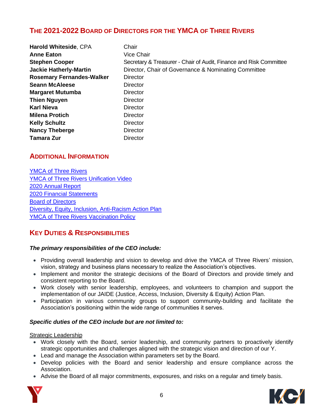## **THE 2021-2022 BOARD OF DIRECTORS FOR THE YMCA OF THREE RIVERS**

| <b>Harold Whiteside, CPA</b>     | Chair                                                              |
|----------------------------------|--------------------------------------------------------------------|
| <b>Anne Eaton</b>                | <b>Vice Chair</b>                                                  |
| <b>Stephen Cooper</b>            | Secretary & Treasurer - Chair of Audit, Finance and Risk Committee |
| <b>Jackie Hatherly-Martin</b>    | Director, Chair of Governance & Nominating Committee               |
| <b>Rosemary Fernandes-Walker</b> | <b>Director</b>                                                    |
| <b>Seann McAleese</b>            | <b>Director</b>                                                    |
| <b>Margaret Mutumba</b>          | <b>Director</b>                                                    |
| <b>Thien Nguyen</b>              | <b>Director</b>                                                    |
| <b>Karl Nieva</b>                | <b>Director</b>                                                    |
| <b>Milena Protich</b>            | <b>Director</b>                                                    |
| <b>Kelly Schultz</b>             | Director                                                           |
| <b>Nancy Theberge</b>            | <b>Director</b>                                                    |
| <b>Tamara Zur</b>                | <b>Director</b>                                                    |

### **ADDITIONAL INFORMATION**

[YMCA of Three Rivers](https://www.ymcacambridgekw.ca/en/index.asp) [YMCA of Three Rivers Unification Video](https://share.vidyard.com/watch/RQt2eAtrqAZBaDG83EXHW3) [2020 Annual Report](https://www.thisisy.ca/annualreport2020/) [2020 Financial Statements](https://www.ymcacambridgekw.ca/en/resourcesGeneral/YMCA-of-Three-Rivers-Dec-2020-Final-FS.PDF) [Board of Directors](https://www.ymcacambridgekw.ca/en/Board-of-Directors.asp) [Diversity, Equity, Inclusion, Anti-Racism Action Plan](https://www.thisisy.ca/edi/) [YMCA of Three Rivers Vaccination Policy](https://www.ymcacambridgekw.ca/en/resourcesGeneral/YMCA-of-Three-Rivers-Vaccination-Disclosure-Policy-Employees-and-Volunteers---Revision-Dec-15-2021-.pdf)

## **KEY DUTIES & RESPONSIBILITIES**

#### *The primary responsibilities of the CEO include:*

- Providing overall leadership and vision to develop and drive the YMCA of Three Rivers' mission, vision, strategy and business plans necessary to realize the Association's objectives.
- Implement and monitor the strategic decisions of the Board of Directors and provide timely and consistent reporting to the Board.
- Work closely with senior leadership, employees, and volunteers to champion and support the implementation of our JAIDE (Justice, Access, Inclusion, Diversity & Equity) Action Plan.
- Participation in various community groups to support community-building and facilitate the Association's positioning within the wide range of communities it serves.

#### *Specific duties of the CEO include but are not limited to:*

Strategic Leadership

- Work closely with the Board, senior leadership, and community partners to proactively identify strategic opportunities and challenges aligned with the strategic vision and direction of our Y.
- Lead and manage the Association within parameters set by the Board.
- Develop policies with the Board and senior leadership and ensure compliance across the Association.
- Advise the Board of all major commitments, exposures, and risks on a regular and timely basis.

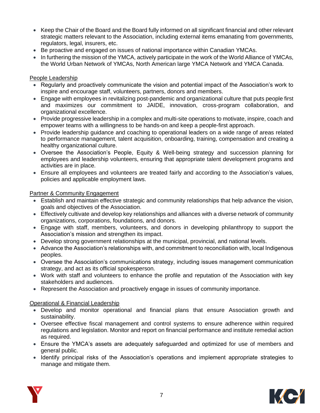- Keep the Chair of the Board and the Board fully informed on all significant financial and other relevant strategic matters relevant to the Association, including external items emanating from governments, regulators, legal, insurers, etc.
- Be proactive and engaged on issues of national importance within Canadian YMCAs.
- In furthering the mission of the YMCA, actively participate in the work of the World Alliance of YMCAs, the World Urban Network of YMCAs, North American large YMCA Network and YMCA Canada.

#### People Leadership

- Regularly and proactively communicate the vision and potential impact of the Association's work to inspire and encourage staff, volunteers, partners, donors and members.
- Engage with employees in revitalizing post-pandemic and organizational culture that puts people first and maximizes our commitment to JAIDE, innovation, cross-program collaboration, and organizational excellence.
- Provide progressive leadership in a complex and multi-site operations to motivate, inspire, coach and empower teams with a willingness to be hands-on and keep a people-first approach.
- Provide leadership guidance and coaching to operational leaders on a wide range of areas related to performance management, talent acquisition, onboarding, training, compensation and creating a healthy organizational culture.
- Oversee the Association's People, Equity & Well-being strategy and succession planning for employees and leadership volunteers, ensuring that appropriate talent development programs and activities are in place.
- Ensure all employees and volunteers are treated fairly and according to the Association's values, policies and applicable employment laws.

#### Partner & Community Engagement

- Establish and maintain effective strategic and community relationships that help advance the vision, goals and objectives of the Association.
- Effectively cultivate and develop key relationships and alliances with a diverse network of community organizations, corporations, foundations, and donors.
- Engage with staff, members, volunteers, and donors in developing philanthropy to support the Association's mission and strengthen its impact.
- Develop strong government relationships at the municipal, provincial, and national levels.
- Advance the Association's relationships with, and commitment to reconciliation with, local Indigenous peoples.
- Oversee the Association's communications strategy, including issues management communication strategy, and act as its official spokesperson.
- Work with staff and volunteers to enhance the profile and reputation of the Association with key stakeholders and audiences.
- Represent the Association and proactively engage in issues of community importance.

#### Operational & Financial Leadership

- Develop and monitor operational and financial plans that ensure Association growth and sustainability.
- Oversee effective fiscal management and control systems to ensure adherence within required regulations and legislation. Monitor and report on financial performance and institute remedial action as required.
- Ensure the YMCA's assets are adequately safeguarded and optimized for use of members and general public.
- Identify principal risks of the Association's operations and implement appropriate strategies to manage and mitigate them.



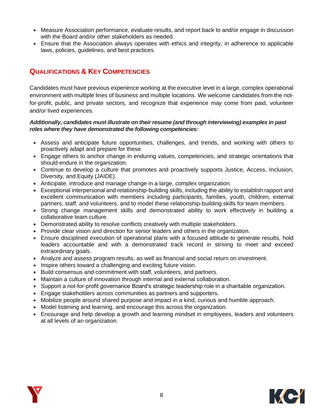- Measure Association performance, evaluate results, and report back to and/or engage in discussion with the Board and/or other stakeholders as needed.
- Ensure that the Association always operates with ethics and integrity, in adherence to applicable laws, policies, guidelines, and best practices.

# **QUALIFICATIONS & KEY COMPETENCIES**

Candidates must have previous experience working at the executive level in a large, complex operational environment with multiple lines of business and multiple locations. We welcome candidates from the notfor-profit, public, and private sectors, and recognize that experience may come from paid, volunteer and/or lived experiences.

#### *Additionally, candidates must illustrate on their resume (and through interviewing) examples in past roles where they have demonstrated the following competencies:*

- Assess and anticipate future opportunities, challenges, and trends, and working with others to proactively adapt and prepare for these.
- Engage others to anchor change in enduring values, competencies, and strategic orientations that should endure in the organization.
- Continue to develop a culture that promotes and proactively supports Justice, Access, Inclusion, Diversity, and Equity (JAIDE).
- Anticipate, introduce and manage change in a large, complex organization.
- Exceptional interpersonal and relationship-building skills, including the ability to establish rapport and excellent communication with members including participants, families, youth, children, external partners, staff, and volunteers, and to model these relationship-building skills for team members.
- Strong change management skills and demonstrated ability to work effectively in building a collaborative team culture.
- Demonstrated ability to resolve conflicts creatively with multiple stakeholders.
- Provide clear vision and direction for senior leaders and others in the organization.
- Ensure disciplined execution of operational plans with a focused attitude to generate results, hold leaders accountable and with a demonstrated track record in striving to meet and exceed extraordinary goals.
- Analyze and assess program results, as well as financial and social return on investment.
- Inspire others toward a challenging and exciting future vision.
- Build consensus and commitment with staff, volunteers, and partners.
- Maintain a culture of innovation through internal and external collaboration.
- Support a not-for-profit governance Board's strategic leadership role in a charitable organization.
- Engage stakeholders across communities as partners and supporters.
- Mobilize people around shared purpose and impact in a kind, curious and humble approach.
- Model listening and learning, and encourage this across the organization.
- Encourage and help develop a growth and learning mindset in employees, leaders and volunteers at all levels of an organization.